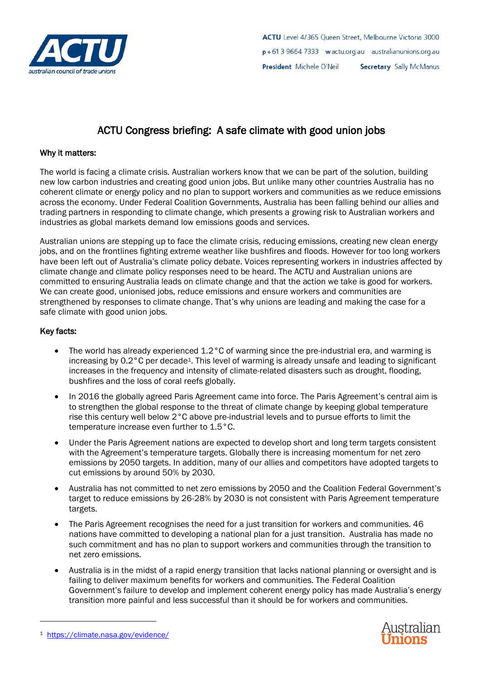

# ACTU Congress briefing: A safe climate with good union jobs

## Why it matters:

The world is facing a climate crisis. Australian workers know that we can be part of the solution, building new low carbon industries and creating good union jobs. But unlike many other countries Australia has no coherent climate or energy policy and no plan to support workers and communities as we reduce emissions across the economy. Under Federal Coalition Governments, Australia has been falling behind our allies and trading partners in responding to climate change, which presents a growing risk to Australian workers and industries as global markets demand low emissions goods and services.

Australian unions are stepping up to face the climate crisis, reducing emissions, creating new clean energy jobs, and on the frontlines fighting extreme weather like bushfires and floods. However for too long workers have been left out of Australia's climate policy debate. Voices representing workers in industries affected by climate change and climate policy responses need to be heard. The ACTU and Australian unions are committed to ensuring Australia leads on climate change and that the action we take is good for workers. We can create good, unionised jobs, reduce emissions and ensure workers and communities are strengthened by responses to climate change. That's why unions are leading and making the case for a safe climate with good union jobs.

## Key facts:

- The world has already experienced  $1.2 \degree$ C of warming since the pre-industrial era, and warming is increasing by 0.2°C per decade<sup>1</sup>. This level of warming is already unsafe and leading to significant increases in the frequency and intensity of climate-related disasters such as drought, flooding, bushfires and the loss of coral reefs globally.
- In 2016 the globally agreed Paris Agreement came into force. The Paris Agreement's central aim is to strengthen the global response to the threat of climate change by keeping global temperature rise this century well below 2°C above pre-industrial levels and to pursue efforts to limit the temperature increase even further to 1.5°C.
- Under the Paris Agreement nations are expected to develop short and long term targets consistent with the Agreement's temperature targets. Globally there is increasing momentum for net zero emissions by 2050 targets. In addition, many of our allies and competitors have adopted targets to cut emissions by around 50% by 2030.
- Australia has not committed to net zero emissions by 2050 and the Coalition Federal Government's target to reduce emissions by 26-28% by 2030 is not consistent with Paris Agreement temperature targets.
- The Paris Agreement recognises the need for a just transition for workers and communities. 46 nations have committed to developing a national plan for a just transition. Australia has made no such commitment and has no plan to support workers and communities through the transition to net zero emissions.
- Australia is in the midst of a rapid energy transition that lacks national planning or oversight and is failing to deliver maximum benefits for workers and communities. The Federal Coalition Government's failure to develop and implement coherent energy policy has made Australia's energy transition more painful and less successful than it should be for workers and communities.



<sup>1</sup> <https://climate.nasa.gov/evidence/>